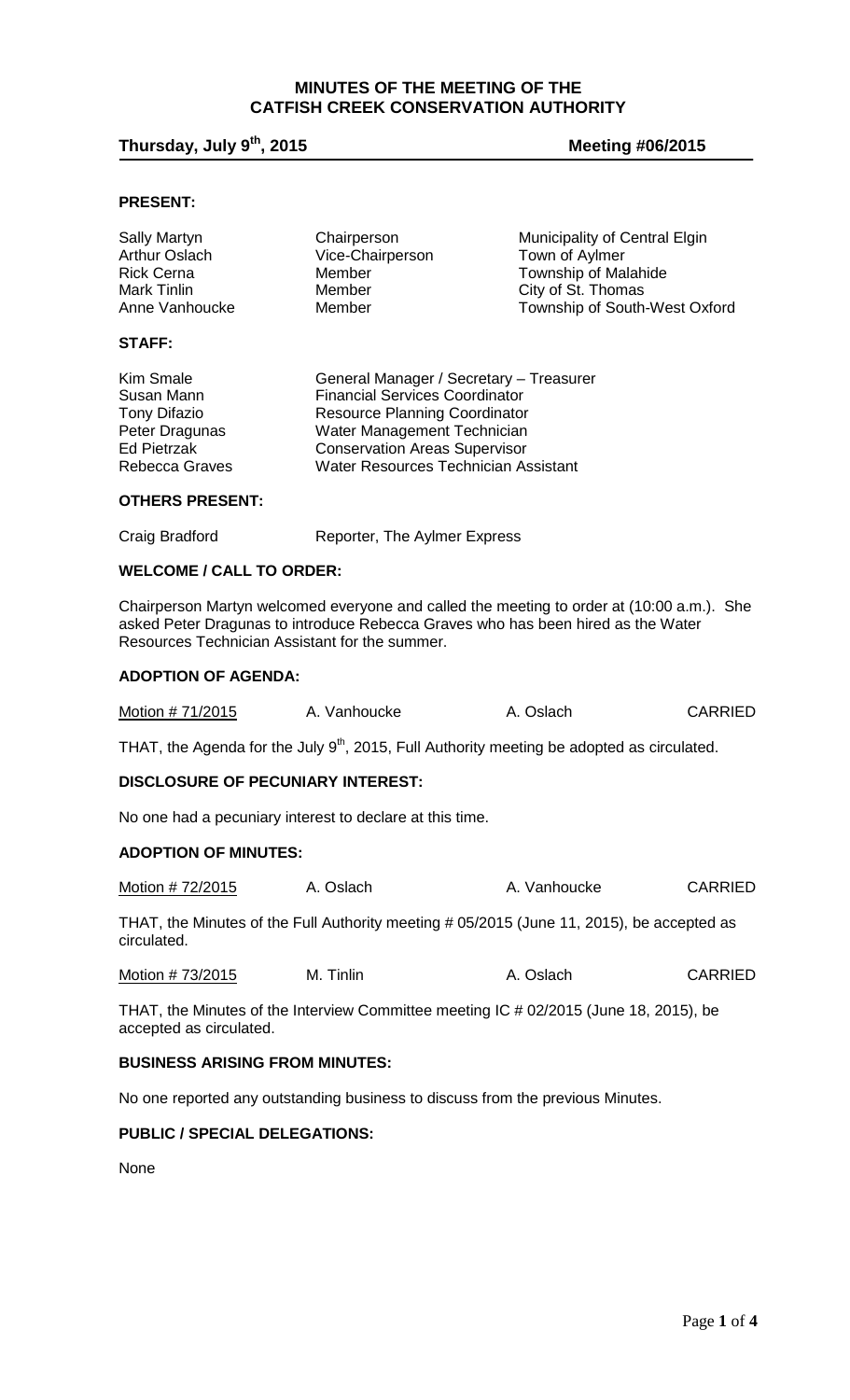# **MINUTES OF THE MEETING OF THE CATFISH CREEK CONSERVATION AUTHORITY**

# **Thursday, July 9th, 2015 Meeting #06/2015**

# **PRESENT:**

| <b>Sally Martyn</b>  | Chairperson                             | Municipality of Central Elgin |
|----------------------|-----------------------------------------|-------------------------------|
| <b>Arthur Oslach</b> | Vice-Chairperson                        | Town of Aylmer                |
| <b>Rick Cerna</b>    | Member                                  | <b>Township of Malahide</b>   |
| Mark Tinlin          | Member                                  | City of St. Thomas            |
| Anne Vanhoucke       | Member                                  | Township of South-West Oxford |
| <b>STAFF:</b>        |                                         |                               |
| <b>Kim Smale</b>     | General Manager / Secretary - Treasurer |                               |
| Susan Mann           | <b>Financial Services Coordinator</b>   |                               |
| <b>Tony Difazio</b>  | <b>Resource Planning Coordinator</b>    |                               |
| Peter Dragunas       | Water Management Technician             |                               |
| <b>Ed Pietrzak</b>   | <b>Conservation Areas Supervisor</b>    |                               |

**Conservation Areas Supervisor** 

# **OTHERS PRESENT:**

| Craig Bradford | Reporter, The Aylmer Express |  |  |
|----------------|------------------------------|--|--|
|                |                              |  |  |

Rebecca Graves Water Resources Technician Assistant

### **WELCOME / CALL TO ORDER:**

Chairperson Martyn welcomed everyone and called the meeting to order at (10:00 a.m.). She asked Peter Dragunas to introduce Rebecca Graves who has been hired as the Water Resources Technician Assistant for the summer.

#### **ADOPTION OF AGENDA:**

| Motion # 71/2015 | A. Vanhoucke | A. Oslach | <b>CARRIED</b> |
|------------------|--------------|-----------|----------------|
|------------------|--------------|-----------|----------------|

THAT, the Agenda for the July  $9<sup>th</sup>$ , 2015, Full Authority meeting be adopted as circulated.

#### **DISCLOSURE OF PECUNIARY INTEREST:**

No one had a pecuniary interest to declare at this time.

## **ADOPTION OF MINUTES:**

| Motion # 72/2015<br>A. Oslach | A. Vanhoucke | <b>CARRIED</b> |
|-------------------------------|--------------|----------------|
|-------------------------------|--------------|----------------|

THAT, the Minutes of the Full Authority meeting # 05/2015 (June 11, 2015), be accepted as circulated.

| Motion #73/2015 | M. Tinlin | A. Oslach | <b>CARRIED</b> |
|-----------------|-----------|-----------|----------------|
|-----------------|-----------|-----------|----------------|

THAT, the Minutes of the Interview Committee meeting IC # 02/2015 (June 18, 2015), be accepted as circulated.

#### **BUSINESS ARISING FROM MINUTES:**

No one reported any outstanding business to discuss from the previous Minutes.

#### **PUBLIC / SPECIAL DELEGATIONS:**

None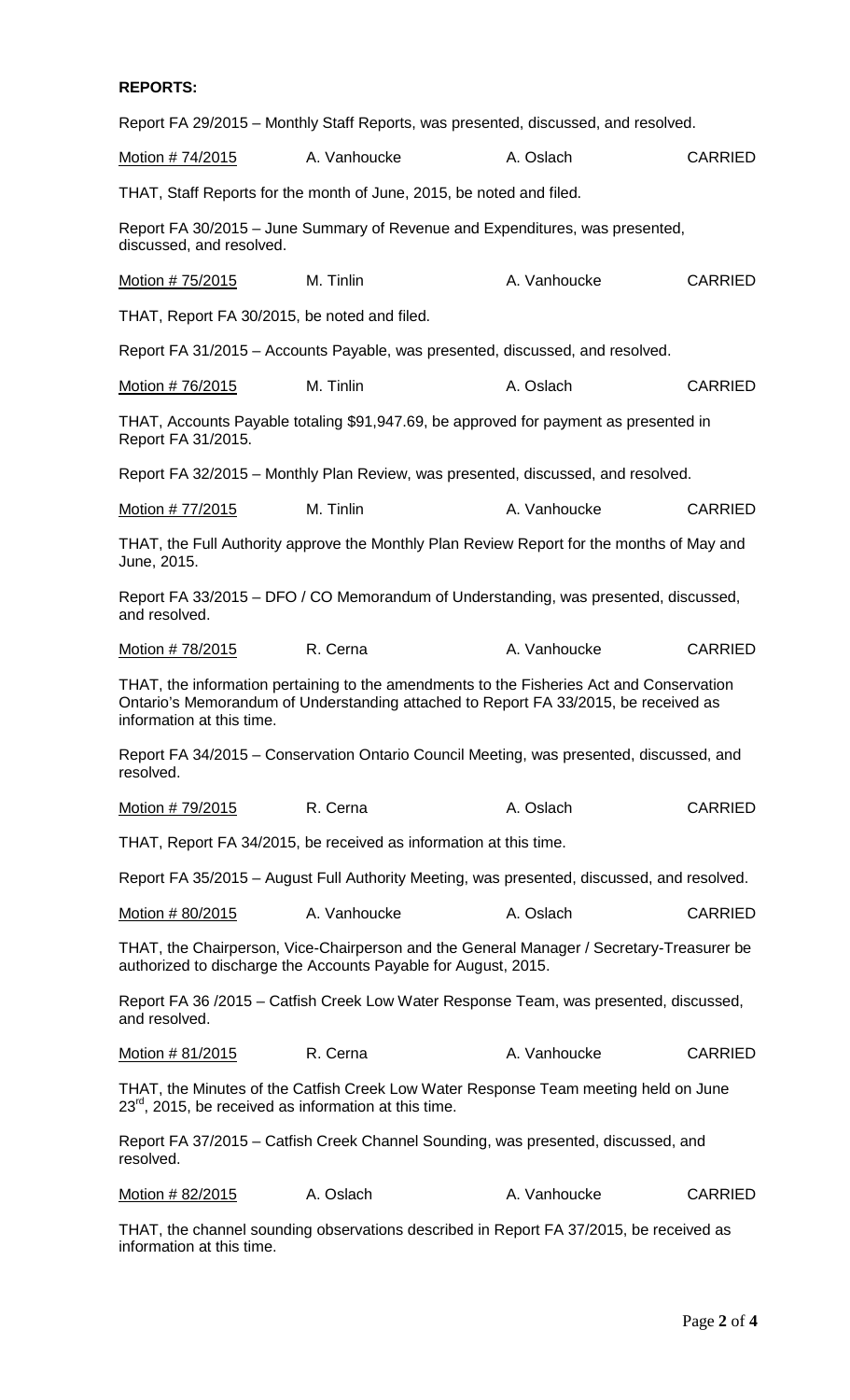# **REPORTS:**

|                                                                                                                                                            | Report FA 29/2015 – Monthly Staff Reports, was presented, discussed, and resolved.                                                                                              |              |                |
|------------------------------------------------------------------------------------------------------------------------------------------------------------|---------------------------------------------------------------------------------------------------------------------------------------------------------------------------------|--------------|----------------|
| Motion # 74/2015                                                                                                                                           | A. Vanhoucke                                                                                                                                                                    | A. Oslach    | <b>CARRIED</b> |
|                                                                                                                                                            | THAT, Staff Reports for the month of June, 2015, be noted and filed.                                                                                                            |              |                |
| discussed, and resolved.                                                                                                                                   | Report FA 30/2015 - June Summary of Revenue and Expenditures, was presented,                                                                                                    |              |                |
| Motion # 75/2015                                                                                                                                           | M. Tinlin                                                                                                                                                                       | A. Vanhoucke | <b>CARRIED</b> |
| THAT, Report FA 30/2015, be noted and filed.                                                                                                               |                                                                                                                                                                                 |              |                |
|                                                                                                                                                            | Report FA 31/2015 – Accounts Payable, was presented, discussed, and resolved.                                                                                                   |              |                |
| Motion # 76/2015                                                                                                                                           | M. Tinlin                                                                                                                                                                       | A. Oslach    | <b>CARRIED</b> |
| Report FA 31/2015.                                                                                                                                         | THAT, Accounts Payable totaling \$91,947.69, be approved for payment as presented in                                                                                            |              |                |
|                                                                                                                                                            | Report FA 32/2015 - Monthly Plan Review, was presented, discussed, and resolved.                                                                                                |              |                |
| <u>Motion # 77/2015</u>                                                                                                                                    | M. Tinlin                                                                                                                                                                       | A. Vanhoucke | <b>CARRIED</b> |
| June, 2015.                                                                                                                                                | THAT, the Full Authority approve the Monthly Plan Review Report for the months of May and                                                                                       |              |                |
| and resolved.                                                                                                                                              | Report FA 33/2015 – DFO / CO Memorandum of Understanding, was presented, discussed,                                                                                             |              |                |
| Motion # 78/2015                                                                                                                                           | R. Cerna                                                                                                                                                                        | A. Vanhoucke | <b>CARRIED</b> |
| information at this time.                                                                                                                                  | THAT, the information pertaining to the amendments to the Fisheries Act and Conservation<br>Ontario's Memorandum of Understanding attached to Report FA 33/2015, be received as |              |                |
| resolved.                                                                                                                                                  | Report FA 34/2015 – Conservation Ontario Council Meeting, was presented, discussed, and                                                                                         |              |                |
| Motion # 79/2015                                                                                                                                           | R. Cerna                                                                                                                                                                        | A. Oslach    | <b>CARRIED</b> |
|                                                                                                                                                            | THAT, Report FA 34/2015, be received as information at this time.                                                                                                               |              |                |
|                                                                                                                                                            | Report FA 35/2015 – August Full Authority Meeting, was presented, discussed, and resolved.                                                                                      |              |                |
| Motion # 80/2015                                                                                                                                           | A. Vanhoucke                                                                                                                                                                    | A. Oslach    | <b>CARRIED</b> |
| THAT, the Chairperson, Vice-Chairperson and the General Manager / Secretary-Treasurer be<br>authorized to discharge the Accounts Payable for August, 2015. |                                                                                                                                                                                 |              |                |
| and resolved.                                                                                                                                              | Report FA 36 /2015 - Catfish Creek Low Water Response Team, was presented, discussed,                                                                                           |              |                |
| Motion # 81/2015                                                                                                                                           | R. Cerna                                                                                                                                                                        | A. Vanhoucke | <b>CARRIED</b> |
| $23^{rd}$ , 2015, be received as information at this time.                                                                                                 | THAT, the Minutes of the Catfish Creek Low Water Response Team meeting held on June                                                                                             |              |                |
| resolved.                                                                                                                                                  | Report FA 37/2015 – Catfish Creek Channel Sounding, was presented, discussed, and                                                                                               |              |                |
| Motion # 82/2015                                                                                                                                           | A. Oslach                                                                                                                                                                       | A. Vanhoucke | <b>CARRIED</b> |
|                                                                                                                                                            | THAT the channel sounding observations described in Report FA 37/2015 he received as                                                                                            |              |                |

THAT, the channel sounding observations described in Report FA 37/2015, be received as information at this time.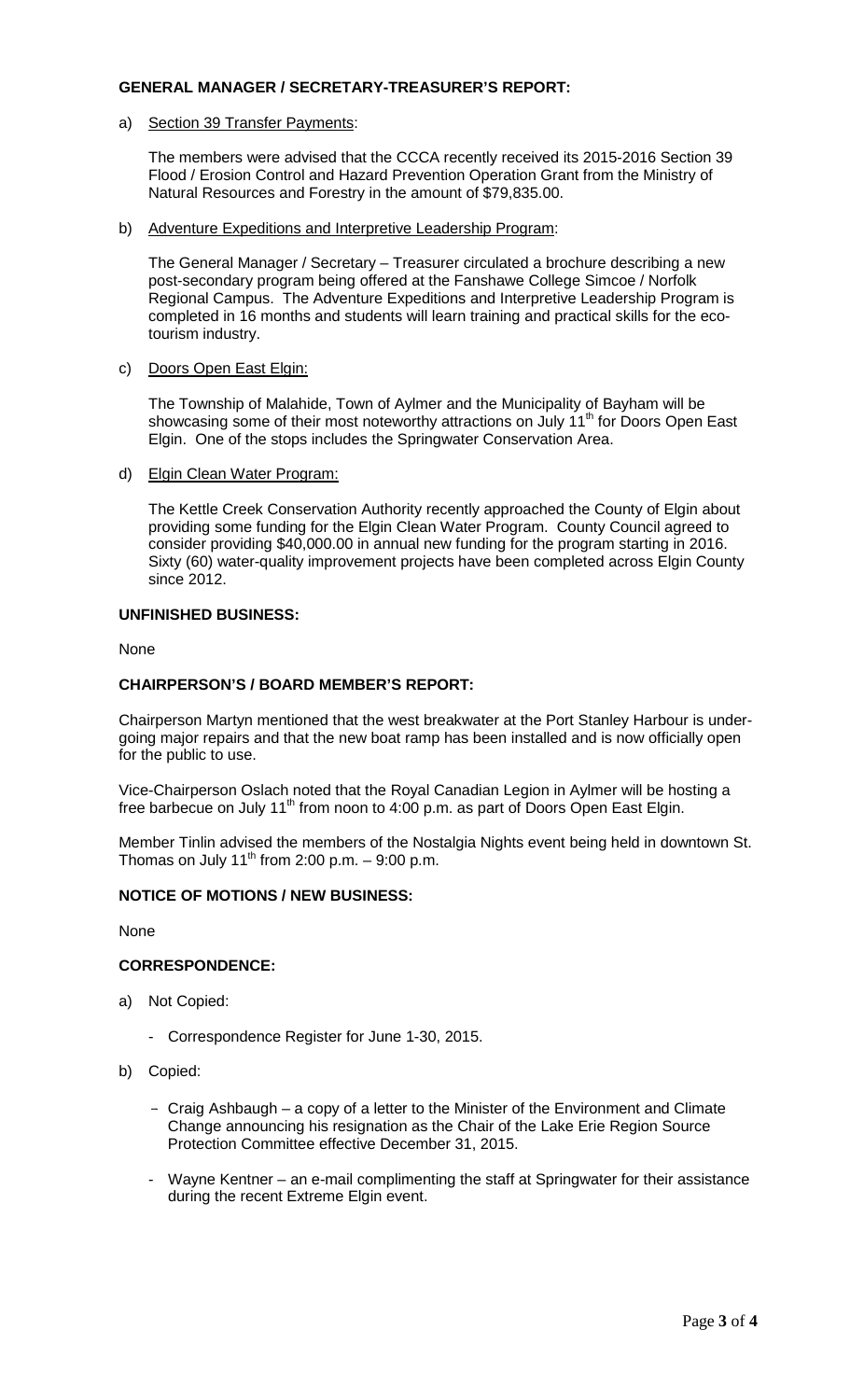### **GENERAL MANAGER / SECRETARY-TREASURER'S REPORT:**

a) Section 39 Transfer Payments:

The members were advised that the CCCA recently received its 2015-2016 Section 39 Flood / Erosion Control and Hazard Prevention Operation Grant from the Ministry of Natural Resources and Forestry in the amount of \$79,835.00.

b) Adventure Expeditions and Interpretive Leadership Program:

The General Manager / Secretary – Treasurer circulated a brochure describing a new post-secondary program being offered at the Fanshawe College Simcoe / Norfolk Regional Campus. The Adventure Expeditions and Interpretive Leadership Program is completed in 16 months and students will learn training and practical skills for the ecotourism industry.

c) Doors Open East Elgin:

The Township of Malahide, Town of Aylmer and the Municipality of Bayham will be showcasing some of their most noteworthy attractions on July 11<sup>th</sup> for Doors Open East Elgin. One of the stops includes the Springwater Conservation Area.

d) Elgin Clean Water Program:

The Kettle Creek Conservation Authority recently approached the County of Elgin about providing some funding for the Elgin Clean Water Program. County Council agreed to consider providing \$40,000.00 in annual new funding for the program starting in 2016. Sixty (60) water-quality improvement projects have been completed across Elgin County since 2012.

# **UNFINISHED BUSINESS:**

None

# **CHAIRPERSON'S / BOARD MEMBER'S REPORT:**

Chairperson Martyn mentioned that the west breakwater at the Port Stanley Harbour is undergoing major repairs and that the new boat ramp has been installed and is now officially open for the public to use.

Vice-Chairperson Oslach noted that the Royal Canadian Legion in Aylmer will be hosting a free barbecue on July 11<sup>th</sup> from noon to 4:00 p.m. as part of Doors Open East Elgin.

Member Tinlin advised the members of the Nostalgia Nights event being held in downtown St. Thomas on July  $11<sup>th</sup>$  from 2:00 p.m. – 9:00 p.m.

# **NOTICE OF MOTIONS / NEW BUSINESS:**

None

# **CORRESPONDENCE:**

- a) Not Copied:
	- Correspondence Register for June 1-30, 2015.
- b) Copied:
	- Craig Ashbaugh a copy of a letter to the Minister of the Environment and Climate Change announcing his resignation as the Chair of the Lake Erie Region Source Protection Committee effective December 31, 2015.
	- Wayne Kentner an e-mail complimenting the staff at Springwater for their assistance during the recent Extreme Elgin event.